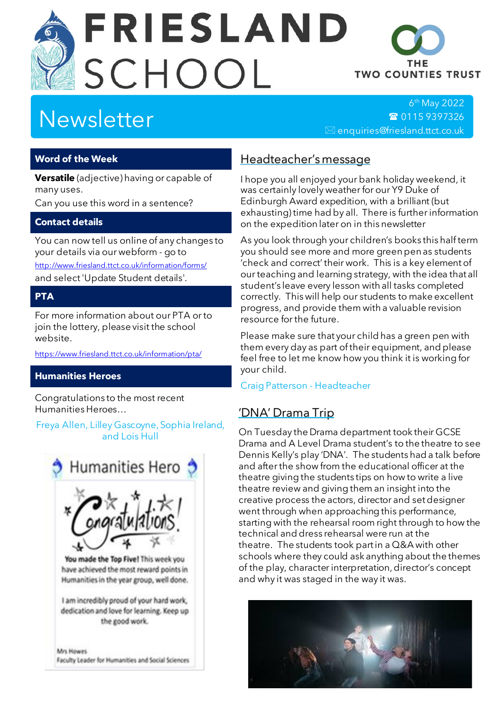# **FRIESLAND** SCHOOL



6 th May 2022 ☎ [0115 9397326](tel:+44-115-9397326)  $\boxtimes$  enquiries@friesland.ttct.co.uk

THE **TWO COUNTIES TRUST** 

### **Word of the Week**

**Versatile** (adjective) having or capable of many uses.

Can you use this word in a sentence?

#### **Contact details**

You can now tell us online of any changes to your details via our webform - go to <http://www.friesland.ttct.co.uk/information/forms/> and select 'Update Student details'.

# **PTA**

For more information about our PTA or to join the lottery, please visit the school website.

<https://www.friesland.ttct.co.uk/information/pta/>

## **Humanities Heroes**

Congratulations to the most recent Humanities Heroes…

Freya Allen, Lilley Gascoyne, Sophia Ireland, and Lois Hull



# Headteacher's message

I hope you all enjoyed your bank holiday weekend, it was certainly lovely weather for our Y9 Duke of Edinburgh Award expedition, with a brilliant (but exhausting) time had by all. There is further information on the expedition later on in this newsletter

As you look through your children's books this half term you should see more and more green pen as students 'check and correct' their work. This is a key element of our teaching and learning strategy, with the idea that all student's leave every lesson with all tasks completed correctly. This will help our students to make excellent progress, and provide them with a valuable revision resource for the future.

Please make sure that your child has a green pen with them every day as part of their equipment, and please feel free to let me know how you think it is working for your child.

#### Craig Patterson - Headteacher

# 'DNA' Drama Trip

On Tuesday the Drama department took their GCSE Drama and A Level Drama student's to the theatre to see Dennis Kelly's play 'DNA'. The students had a talk before and after the show from the educational officer at the theatre giving the students tips on how to write a live theatre review and giving them an insight into the creative process the actors, director and set designer went through when approaching this performance, starting with the rehearsal room right through to how the technical and dress rehearsal were run at the theatre. The students took part in a Q&A with other schools where they could ask anything about the themes of the play, character interpretation, director's concept and why it was staged in the way it was.

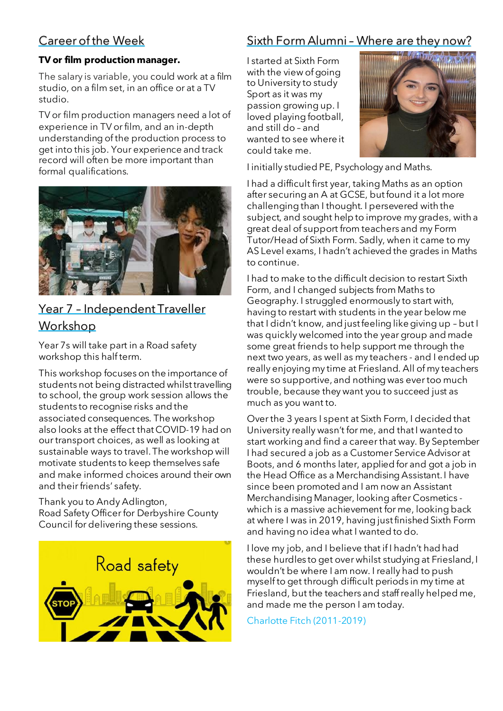# Career of the Week

#### **TV or film production manager.**

The salary is variable, you could work at a film studio, on a film set, in an office or at a TV studio.

TV or film production managers need a lot of experience in TV orfilm, and an in-depth understanding of the production process to get into this job. Your experience and track record will often be more important than formal qualifications.



# Year 7 – Independent Traveller Workshop

Year 7s will take part in a Road safety workshop this half term.

This workshop focuses on the importance of students not being distracted whilst travelling to school, the group work session allows the students to recognise risks and the associated consequences. The workshop also looks at the effect that COVID-19 had on ourtransport choices, as well as looking at sustainable ways to travel. The workshop will motivate students to keep themselves safe and make informed choices around their own and their friends' safety.

Thank you to Andy Adlington, Road Safety Officer for Derbyshire County Council for delivering these sessions.



# Sixth Form Alumni – Where are they now?

I started at Sixth Form with the view of going to University to study Sport as it was my passion growing up. I loved playing football, and still do – and wanted to see where it could take me.



I initially studied PE, Psychology and Maths.

I had a difficult first year, taking Maths as an option after securing an A at GCSE, but found it a lot more challenging than I thought. I persevered with the subject, and sought help to improve my grades, with a great deal of support from teachers and my Form Tutor/Head of Sixth Form. Sadly, when it came to my AS Level exams, I hadn't achieved the grades in Maths to continue.

I had to make to the difficult decision to restart Sixth Form, and I changed subjects from Maths to Geography. I struggled enormously to start with, having to restart with students in the year below me that I didn't know, and just feeling like giving up – but I was quickly welcomed into the year group and made some great friends to help support me through the next two years, as well as my teachers - and I ended up really enjoying my time at Friesland. All of my teachers were so supportive, and nothing was ever too much trouble, because they want you to succeed just as much as you want to.

Over the 3 years I spent at Sixth Form, I decided that University really wasn't for me, and that I wanted to start working and find a career that way. By September I had secured a job as a Customer Service Advisor at Boots, and 6 months later, applied for and got a job in the Head Office as a Merchandising Assistant. I have since been promoted and I am now an Assistant Merchandising Manager, looking after Cosmetics which is a massive achievement for me, looking back at where I was in 2019, having just finished Sixth Form and having no idea what I wanted to do.

I love my job, and I believe that if I hadn't had had these hurdles to get over whilst studying at Friesland, I wouldn't be where I am now. I really had to push myself to get through difficult periods in my time at Friesland, but the teachers and staff really helped me, and made me the person I am today.

Charlotte Fitch (2011-2019)